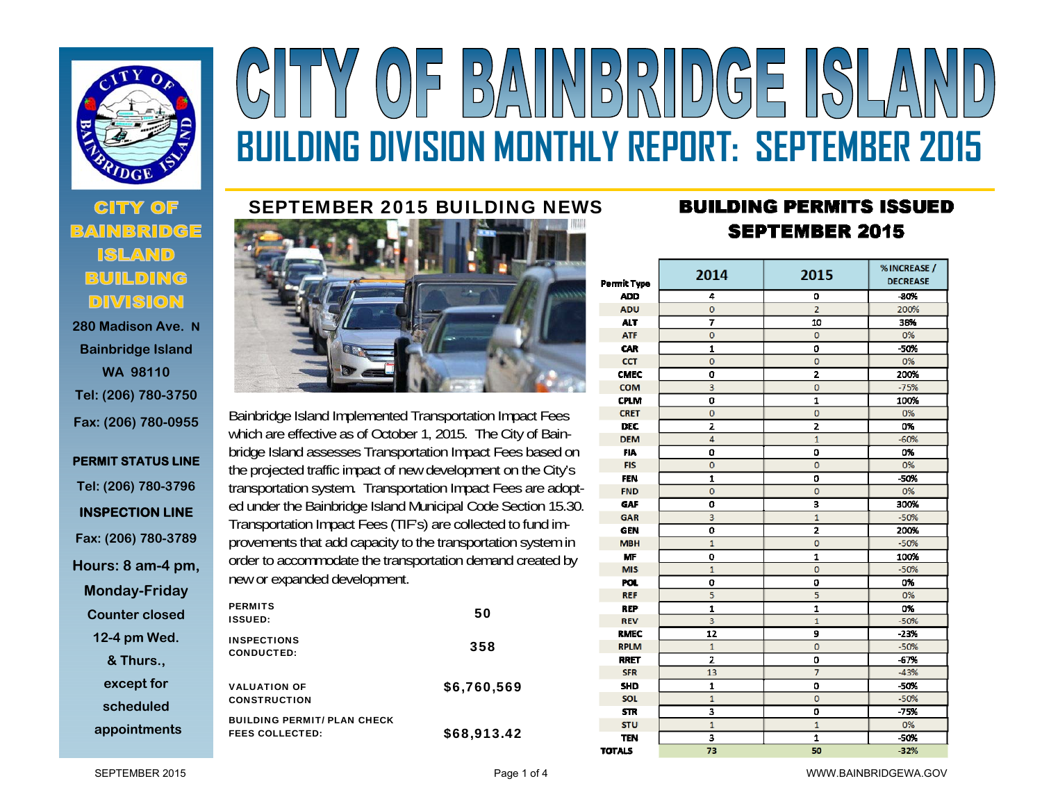

 **280 Madison Ave. NBainbridge Island WA 98110 Tel: (206) 780-3750 Fax: (206) 780-0955** 

**PERMIT STATUS LINE Tel: (206) 780-3796 INSPECTION LINE Fax: (206) 780-3789 Hours: 8 am-4 pm, Monday-Friday Counter closed 12-4 pm Wed. & Thurs., except for scheduled appointments**

# BAINBRIDGE ISLA  $(0)$ **BUILDING DIVISION MONTHLY REPORT: SEPTEMBER 2015**

# SEPTEMBER 2015 BUILDING NEWS



Bainbridge Island Implemented Transportation Impact Fees which are effective as of October 1, 2015. The City of Bainbridge Island assesses Transportation Impact Fees based on the projected traffic impact of new development on the City's transportation system. Transportation Impact Fees are adopted under the Bainbridge Island Municipal Code Section 15.30. Transportation Impact Fees (TIF's) are collected to fund improvements that add capacity to the transportation system in order to accommodate the transportation demand created by new or expanded development.

| <b>PERMITS</b><br><b>ISSUED:</b>                             | 50          |
|--------------------------------------------------------------|-------------|
| <b>INSPECTIONS</b><br><b>CONDUCTED:</b>                      | 358         |
| <b>VALUATION OF</b><br><b>CONSTRUCTION</b>                   | \$6,760,569 |
| <b>BUILDING PERMIT/ PLAN CHECK</b><br><b>FEES COLLECTED:</b> | \$68,913.42 |

# **BUILDING PERMITS ISSUED SEPTEMBER 2015**

| Permit Type   | 2014                       | 2015           | % INCREASE /<br><b>DECREASE</b> |  |  |
|---------------|----------------------------|----------------|---------------------------------|--|--|
| <b>ADD</b>    | 4                          | 0              | $-80%$                          |  |  |
| <b>ADU</b>    | $\mathbf 0$                | $\overline{2}$ | 200%                            |  |  |
| <b>ALT</b>    | $\overline{7}$             | 10             | 38%                             |  |  |
| <b>ATF</b>    | $\mathbf 0$                | $\overline{0}$ | 0%                              |  |  |
| <b>CAR</b>    | 1                          | O              | $-50%$                          |  |  |
| <b>CCT</b>    | $\Omega$                   | $\mathbf{0}$   | 0%                              |  |  |
| <b>CMEC</b>   | O                          | 2              | 200%<br>$-75%$                  |  |  |
| <b>COM</b>    | 3                          | $\mathbf 0$    |                                 |  |  |
| <b>CPLM</b>   | O                          | $\mathbf{I}$   | 100%<br>0%                      |  |  |
| <b>CRET</b>   | 0                          | $\bf{0}$       |                                 |  |  |
| <b>DEC</b>    | $\overline{z}$             | 2              | 0%                              |  |  |
| <b>DEM</b>    | 4                          | $\mathbf{1}$   | $-60%$                          |  |  |
| <b>FIA</b>    | o                          | O              | 0%                              |  |  |
| <b>FIS</b>    | 0                          | $\mathbf{0}$   |                                 |  |  |
| <b>FEN</b>    | 1                          | O              | -50%                            |  |  |
| <b>FND</b>    | $\mathbf 0$<br>$\mathbf 0$ |                | 0%                              |  |  |
| <b>GAF</b>    | o                          | 3              | 300%                            |  |  |
| <b>GAR</b>    | 3                          | $\mathbf{1}$   | $-50%$                          |  |  |
| <b>GEN</b>    | Ō                          | $\overline{a}$ | 200%                            |  |  |
| <b>MBH</b>    | $\overline{1}$             | $\mathbf{0}$   | $-50%$                          |  |  |
| <b>MF</b>     | O                          | 1              | 100%                            |  |  |
| <b>MIS</b>    | $\overline{1}$             | $\overline{0}$ | $-50%$                          |  |  |
| POL.          | o                          | O              | 0%                              |  |  |
| <b>REF</b>    | 5                          | 5              | 0%                              |  |  |
| <b>REP</b>    | 1                          | 1              | 0%                              |  |  |
| <b>REV</b>    | 3                          | $\mathbf{1}$   | $-50%$                          |  |  |
| <b>RMEC</b>   | 12                         | 9              | $-23%$                          |  |  |
| <b>RPLM</b>   | $\mathbf{1}$               | $\mathbf{0}$   | $-50%$                          |  |  |
| <b>RRET</b>   | Ż                          | 0              | $-67%$                          |  |  |
| <b>SFR</b>    | 13                         | 7              | $-43%$                          |  |  |
| <b>SHD</b>    | 1                          | O              | -50%                            |  |  |
| <b>SOL</b>    | $\mathbf{1}$               | 0              | $-50%$                          |  |  |
| <b>STR</b>    | 3                          | O              | $-75%$                          |  |  |
| <b>STU</b>    | $\mathbf{1}$               | $\mathbf{1}$   | 0%                              |  |  |
| <b>TEN</b>    | 3                          | 1              | -50%                            |  |  |
| <b>TOTALS</b> | 73                         | 50             | $-32%$                          |  |  |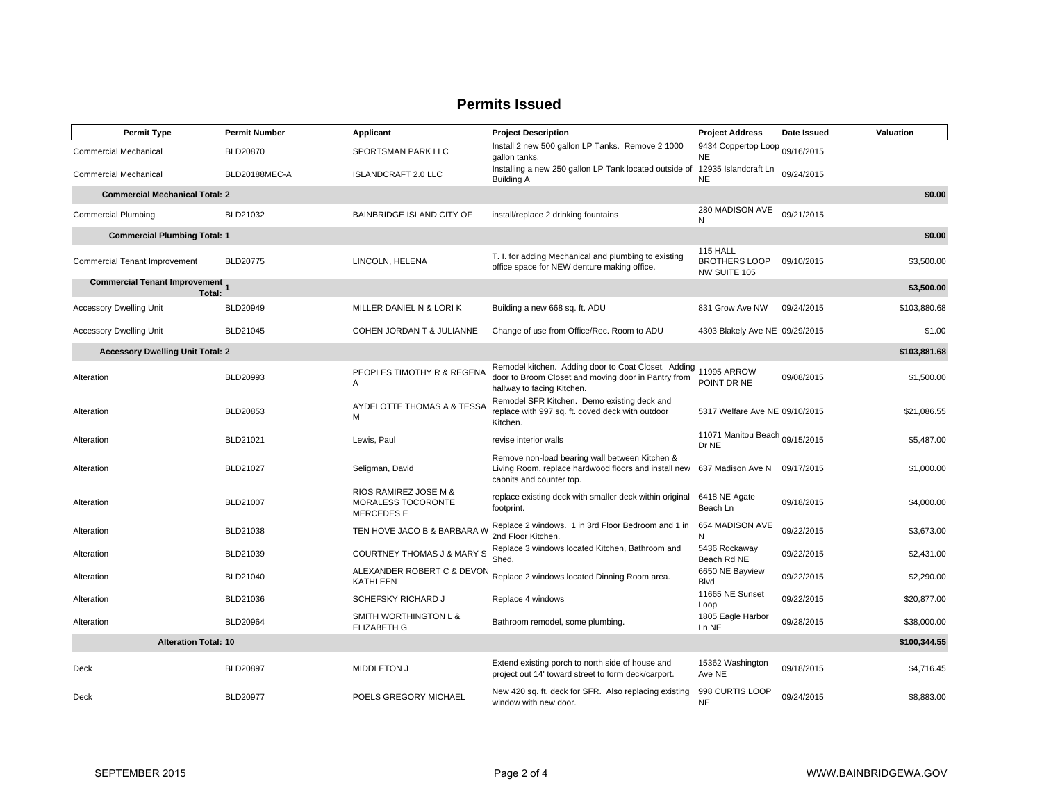# **Permits Issued**

| <b>Permit Type</b>                               | <b>Permit Number</b> | Applicant                                                       | <b>Project Description</b>                                                                                                               | <b>Project Address</b>                           | Date Issued | Valuation    |  |
|--------------------------------------------------|----------------------|-----------------------------------------------------------------|------------------------------------------------------------------------------------------------------------------------------------------|--------------------------------------------------|-------------|--------------|--|
| <b>Commercial Mechanical</b>                     | <b>BLD20870</b>      | SPORTSMAN PARK LLC                                              | Install 2 new 500 gallon LP Tanks. Remove 2 1000<br>gallon tanks.                                                                        | 9434 Coppertop Loop<br><b>NE</b>                 | 09/16/2015  |              |  |
| <b>Commercial Mechanical</b>                     | BLD20188MEC-A        | <b>ISLANDCRAFT 2.0 LLC</b>                                      | Installing a new 250 gallon LP Tank located outside of<br><b>Building A</b>                                                              | 12935 Islandcraft Ln<br><b>NE</b>                | 09/24/2015  |              |  |
| <b>Commercial Mechanical Total: 2</b>            |                      |                                                                 |                                                                                                                                          |                                                  |             |              |  |
| <b>Commercial Plumbing</b>                       | BLD21032             | BAINBRIDGE ISLAND CITY OF                                       | install/replace 2 drinking fountains                                                                                                     | 280 MADISON AVE<br>N                             | 09/21/2015  |              |  |
| <b>Commercial Plumbing Total: 1</b>              |                      |                                                                 |                                                                                                                                          |                                                  |             | \$0.00       |  |
| Commercial Tenant Improvement                    | <b>BLD20775</b>      | LINCOLN, HELENA                                                 | T. I. for adding Mechanical and plumbing to existing<br>office space for NEW denture making office.                                      | 115 HALL<br><b>BROTHERS LOOP</b><br>NW SUITE 105 | 09/10/2015  | \$3,500.00   |  |
| <b>Commercial Tenant Improvement</b> 1<br>Total: |                      |                                                                 |                                                                                                                                          |                                                  |             | \$3,500.00   |  |
| <b>Accessory Dwelling Unit</b>                   | BLD20949             | MILLER DANIEL N & LORI K                                        | Building a new 668 sq. ft. ADU                                                                                                           | 831 Grow Ave NW                                  | 09/24/2015  | \$103,880.68 |  |
| <b>Accessory Dwelling Unit</b>                   | BLD21045             | COHEN JORDAN T & JULIANNE                                       | Change of use from Office/Rec. Room to ADU                                                                                               | 4303 Blakely Ave NE 09/29/2015                   |             | \$1.00       |  |
| <b>Accessory Dwelling Unit Total: 2</b>          |                      |                                                                 |                                                                                                                                          |                                                  |             | \$103,881.68 |  |
| Alteration                                       | BLD20993             | PEOPLES TIMOTHY R & REGENA<br>A                                 | Remodel kitchen. Adding door to Coat Closet. Adding<br>door to Broom Closet and moving door in Pantry from<br>hallway to facing Kitchen. | 11995 ARROW<br>POINT DR NE                       | 09/08/2015  | \$1,500.00   |  |
| Alteration                                       | BLD20853             | AYDELOTTE THOMAS A & TESSA<br>М                                 | Remodel SFR Kitchen. Demo existing deck and<br>replace with 997 sq. ft. coved deck with outdoor<br>Kitchen.                              | 5317 Welfare Ave NE 09/10/2015                   |             | \$21,086.55  |  |
| Alteration                                       | BLD21021             | Lewis, Paul                                                     | revise interior walls                                                                                                                    | 11071 Manitou Beach 09/15/2015<br>Dr NE          |             | \$5,487.00   |  |
| Alteration                                       | BLD21027             | Seligman, David                                                 | Remove non-load bearing wall between Kitchen &<br>Living Room, replace hardwood floors and install new<br>cabnits and counter top.       | 637 Madison Ave N                                | 09/17/2015  | \$1,000.00   |  |
| Alteration                                       | BLD21007             | RIOS RAMIREZ JOSE M &<br>MORALESS TOCORONTE<br><b>MERCEDESE</b> | replace existing deck with smaller deck within original<br>footprint.                                                                    | 6418 NE Agate<br>Beach Ln                        | 09/18/2015  | \$4,000.00   |  |
| Alteration                                       | BLD21038             | TEN HOVE JACO B & BARBARA W                                     | Replace 2 windows. 1 in 3rd Floor Bedroom and 1 in<br>2nd Floor Kitchen.                                                                 | 654 MADISON AVE<br>N                             | 09/22/2015  | \$3,673.00   |  |
| Alteration                                       | BLD21039             | <b>COURTNEY THOMAS J &amp; MARY S</b>                           | Replace 3 windows located Kitchen, Bathroom and<br>Shed.                                                                                 | 5436 Rockaway<br>Beach Rd NE                     | 09/22/2015  | \$2,431.00   |  |
| Alteration                                       | BLD21040             | ALEXANDER ROBERT C & DEVON<br><b>KATHLEEN</b>                   | Replace 2 windows located Dinning Room area.                                                                                             | 6650 NE Bayview<br>Blvd                          | 09/22/2015  | \$2,290.00   |  |
| Alteration                                       | BLD21036             | <b>SCHEFSKY RICHARD J</b>                                       | Replace 4 windows                                                                                                                        | 11665 NE Sunset<br>Loop                          | 09/22/2015  | \$20,877.00  |  |
| Alteration                                       | BLD20964             | SMITH WORTHINGTON L &<br><b>ELIZABETH G</b>                     | Bathroom remodel, some plumbing.                                                                                                         | 1805 Eagle Harbor<br>Ln NE                       | 09/28/2015  | \$38,000.00  |  |
| <b>Alteration Total: 10</b>                      |                      |                                                                 |                                                                                                                                          |                                                  |             | \$100,344.55 |  |
| Deck                                             | <b>BLD20897</b>      | <b>MIDDLETON J</b>                                              | Extend existing porch to north side of house and<br>project out 14' toward street to form deck/carport.                                  | 15362 Washington<br>Ave NE                       | 09/18/2015  | \$4,716.45   |  |
| Deck                                             | <b>BLD20977</b>      | POELS GREGORY MICHAEL                                           | New 420 sq. ft. deck for SFR. Also replacing existing<br>window with new door.                                                           | 998 CURTIS LOOP<br>NE.                           | 09/24/2015  | \$8,883.00   |  |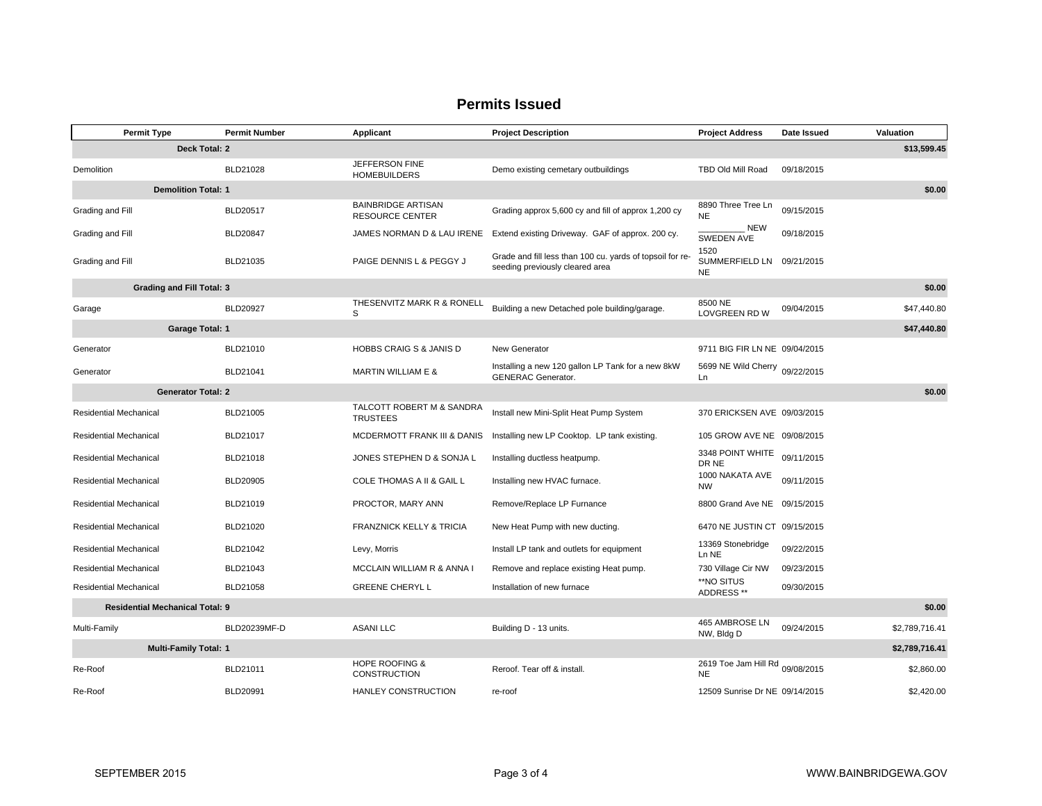# **Permits Issued**

|                                                  | <b>Permit Type</b>               | <b>Permit Number</b> | Applicant                                           | <b>Project Description</b>                                                                   | <b>Project Address</b>                         | Date Issued | Valuation      |  |
|--------------------------------------------------|----------------------------------|----------------------|-----------------------------------------------------|----------------------------------------------------------------------------------------------|------------------------------------------------|-------------|----------------|--|
| Deck Total: 2<br>\$13,599.45                     |                                  |                      |                                                     |                                                                                              |                                                |             |                |  |
| Demolition                                       |                                  | BLD21028             | JEFFERSON FINE<br><b>HOMEBUILDERS</b>               | Demo existing cemetary outbuildings                                                          | TBD Old Mill Road                              | 09/18/2015  |                |  |
|                                                  | <b>Demolition Total: 1</b>       |                      |                                                     |                                                                                              |                                                |             | \$0.00         |  |
| Grading and Fill                                 |                                  | BLD20517             | <b>BAINBRIDGE ARTISAN</b><br><b>RESOURCE CENTER</b> | Grading approx 5,600 cy and fill of approx 1,200 cy                                          | 8890 Three Tree Ln<br><b>NE</b>                | 09/15/2015  |                |  |
| Grading and Fill                                 |                                  | <b>BLD20847</b>      | JAMES NORMAN D & LAU IRENE                          | Extend existing Driveway. GAF of approx. 200 cy.                                             | <b>NEW</b><br>SWEDEN AVE                       | 09/18/2015  |                |  |
| Grading and Fill                                 |                                  | BLD21035             | PAIGE DENNIS L & PEGGY J                            | Grade and fill less than 100 cu. yards of topsoil for re-<br>seeding previously cleared area | 1520<br>SUMMERFIELD LN 09/21/2015<br><b>NE</b> |             |                |  |
|                                                  | <b>Grading and Fill Total: 3</b> |                      |                                                     |                                                                                              |                                                |             | \$0.00         |  |
| Garage                                           |                                  | <b>BLD20927</b>      | THESENVITZ MARK R & RONELL<br>S                     | Building a new Detached pole building/garage.                                                | 8500 NE<br><b>LOVGREEN RD W</b>                | 09/04/2015  | \$47,440.80    |  |
|                                                  | <b>Garage Total: 1</b>           |                      |                                                     |                                                                                              |                                                |             | \$47,440.80    |  |
| Generator                                        |                                  | BLD21010             | <b>HOBBS CRAIG S &amp; JANIS D</b>                  | New Generator                                                                                | 9711 BIG FIR LN NE 09/04/2015                  |             |                |  |
| Generator                                        |                                  | BLD21041             | <b>MARTIN WILLIAM E &amp;</b>                       | Installing a new 120 gallon LP Tank for a new 8kW<br><b>GENERAC Generator.</b>               | 5699 NE Wild Cherry 09/22/2015<br>Ln           |             |                |  |
|                                                  | <b>Generator Total: 2</b>        |                      |                                                     |                                                                                              |                                                |             | \$0.00         |  |
| <b>Residential Mechanical</b>                    |                                  | BLD21005             | TALCOTT ROBERT M & SANDRA<br><b>TRUSTEES</b>        | Install new Mini-Split Heat Pump System                                                      | 370 ERICKSEN AVE 09/03/2015                    |             |                |  |
| <b>Residential Mechanical</b>                    |                                  | BLD21017             | MCDERMOTT FRANK III & DANIS                         | Installing new LP Cooktop. LP tank existing.                                                 | 105 GROW AVE NE 09/08/2015                     |             |                |  |
| <b>Residential Mechanical</b>                    |                                  | BLD21018             | JONES STEPHEN D & SONJA L                           | Installing ductless heatpump.                                                                | 3348 POINT WHITE<br>DR NE                      | 09/11/2015  |                |  |
| <b>Residential Mechanical</b>                    |                                  | <b>BLD20905</b>      | COLE THOMAS A II & GAIL L                           | Installing new HVAC furnace.                                                                 | 1000 NAKATA AVE<br><b>NW</b>                   | 09/11/2015  |                |  |
| <b>Residential Mechanical</b>                    |                                  | BLD21019             | PROCTOR, MARY ANN                                   | Remove/Replace LP Furnance                                                                   | 8800 Grand Ave NE 09/15/2015                   |             |                |  |
| <b>Residential Mechanical</b>                    |                                  | BLD21020             | <b>FRANZNICK KELLY &amp; TRICIA</b>                 | New Heat Pump with new ducting.                                                              | 6470 NE JUSTIN CT 09/15/2015                   |             |                |  |
| <b>Residential Mechanical</b>                    |                                  | BLD21042             | Levy, Morris                                        | Install LP tank and outlets for equipment                                                    | 13369 Stonebridge<br>Ln NE                     | 09/22/2015  |                |  |
| <b>Residential Mechanical</b>                    |                                  | BLD21043             | MCCLAIN WILLIAM R & ANNA I                          | Remove and replace existing Heat pump.                                                       | 730 Village Cir NW                             | 09/23/2015  |                |  |
| <b>Residential Mechanical</b>                    |                                  | BLD21058             | <b>GREENE CHERYL L</b>                              | Installation of new furnace                                                                  | **NO SITUS<br>ADDRESS **                       | 09/30/2015  |                |  |
| \$0.00<br><b>Residential Mechanical Total: 9</b> |                                  |                      |                                                     |                                                                                              |                                                |             |                |  |
| Multi-Family                                     |                                  | BLD20239MF-D         | <b>ASANI LLC</b>                                    | Building D - 13 units.                                                                       | 465 AMBROSE LN<br>NW, Bldg D                   | 09/24/2015  | \$2,789,716.41 |  |
| <b>Multi-Family Total: 1</b>                     |                                  |                      |                                                     |                                                                                              |                                                |             | \$2,789,716.41 |  |
| Re-Roof                                          |                                  | BLD21011             | <b>HOPE ROOFING &amp;</b><br><b>CONSTRUCTION</b>    | Reroof. Tear off & install.                                                                  | 2619 Toe Jam Hill Rd 09/08/2015<br><b>NE</b>   |             | \$2,860.00     |  |
| Re-Roof                                          |                                  | BLD20991             | HANLEY CONSTRUCTION                                 | re-roof                                                                                      | 12509 Sunrise Dr NE 09/14/2015                 |             | \$2,420.00     |  |